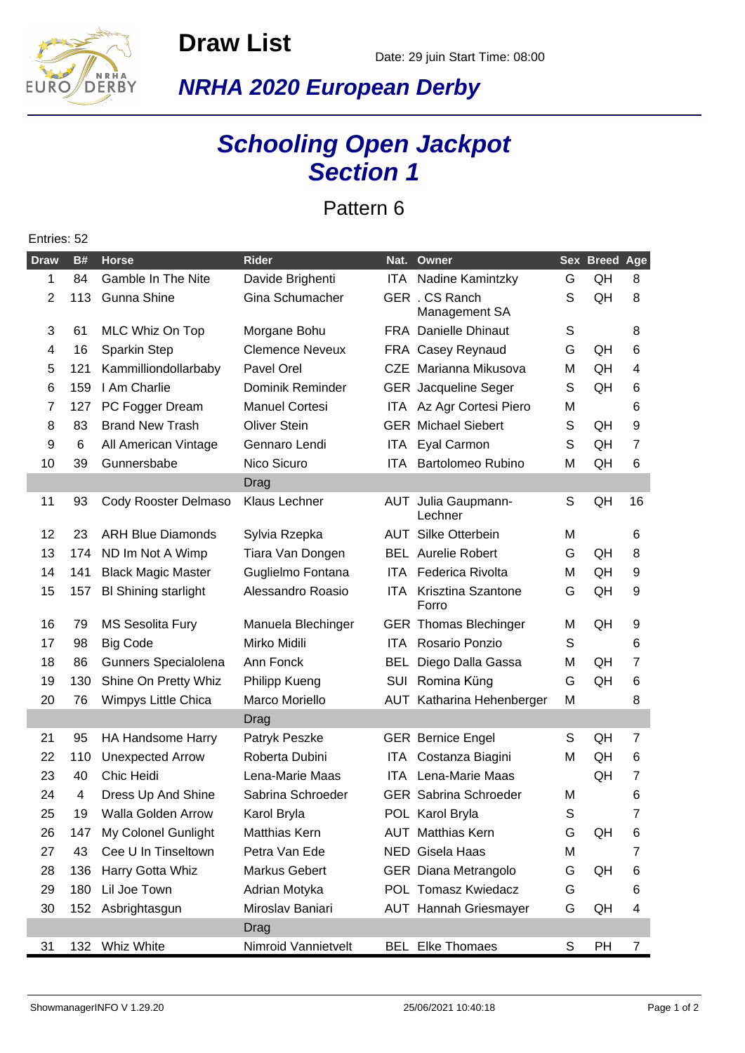**Draw List**



**NRHA 2020 European Derby**

## **Schooling Open Jackpot Section 1**

Pattern 6

## **Draw B# Horse Rider Nat. Owner Sex Breed Age** 1 84 Gamble In The Nite Davide Brighenti ITA Nadine Kamintzky G QH 8 2 113 Gunna Shine Gina Schumacher GER . CS Ranch Management SA S QH 8 3 61 MLC Whiz On Top Morgane Bohu FRA Danielle Dhinaut S 8 4 16 Sparkin Step Clemence Neveux FRA Casey Reynaud G QH 6 5 121 Kammilliondollarbaby Pavel Orel CZE Marianna Mikusova M QH 4 6 159 I Am Charlie Dominik Reminder GER Jacqueline Seger S QH 6 7 127 PC Fogger Dream Manuel Cortesi ITA Az Agr Cortesi Piero M 6 8 83 Brand New Trash Oliver Stein GER Michael Siebert S QH 9 9 6 All American Vintage Gennaro Lendi ITA Eyal Carmon S QH 7 10 39 Gunnersbabe Nico Sicuro ITA Bartolomeo Rubino M QH 6 Drag 11 93 Cody Rooster Delmaso Klaus Lechner AUT Julia Gaupmann-Lechner S QH 16 12 23 ARH Blue Diamonds Sylvia Rzepka MAUT Silke Otterbein MM 6 13 174 ND Im Not A Wimp Tiara Van Dongen BEL Aurelie Robert G QH 8 14 141 Black Magic Master Guglielmo Fontana ITA Federica Rivolta M QH 9 15 157 Bl Shining starlight Alessandro Roasio ITA Krisztina Szantone Forro G QH 9 16 79 MS Sesolita Fury Manuela Blechinger GER Thomas Blechinger M QH 9 17 98 Big Code Mirko Midili ITA Rosario Ponzio 6 18 86 Gunners Specialolena Ann Fonck BEL Diego Dalla Gassa M QH 7 19 130 Shine On Pretty Whiz Philipp Kueng SUI Romina Küng G QH 6 20 76 Wimpys Little Chica Marco Moriello AUT Katharina Hehenberger M 8 Drag 21 95 HA Handsome Harry Patryk Peszke GER Bernice Engel S QH 7 22 110 Unexpected Arrow Roberta Dubini ITA Costanza Biagini M QH 6 23 40 Chic Heidi Lena-Marie Maas ITA Lena-Marie Maas QH 7 24 4 Dress Up And Shine Sabrina Schroeder GER Sabrina Schroeder M 6 25 19 Walla Golden Arrow Karol Bryla **POL Karol Bryla** S 7 26 147 My Colonel Gunlight Matthias Kern AUT Matthias Kern G QH 6 27 43 Cee U In Tinseltown Petra Van Ede NED Gisela Haas M 7 28 136 Harry Gotta Whiz Markus Gebert GER Diana Metrangolo G QH 6 29 180 Lil Joe Town Adrian Motyka POL Tomasz Kwiedacz G 6 30 152 Asbrightasgun Miroslav Baniari AUT Hannah Griesmayer G QH 4 Drag 31 132 Whiz White Nimroid Vannietvelt BEL Elke Thomaes S PH 7

## Entries: 52